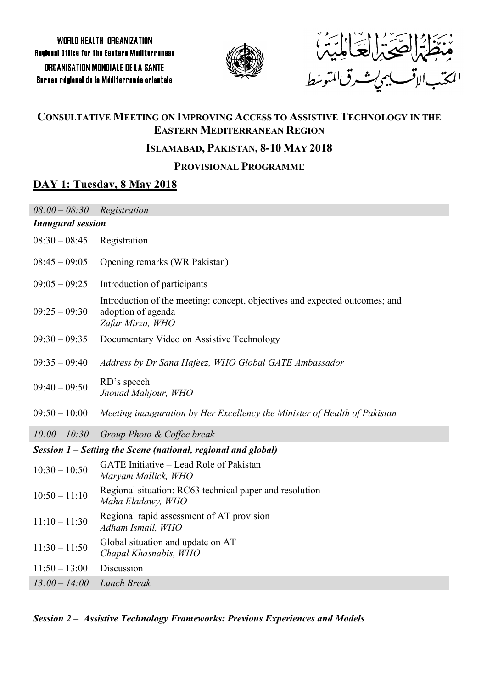

هُنَجَلَهُُمُ الْحَيَى الْخَيَا الْمَيْهُ،<br>هِنْجَلْهُ الْحَيَى الْحَيَا الْمِيْهِ،<br>الْمَدْبِ الاقْبِ يهرِيتْ رِي المتوسَط

# **CONSULTATIVE MEETING ON IMPROVING ACCESS TO ASSISTIVE TECHNOLOGY IN THE EASTERN MEDITERRANEAN REGION**

## **ISLAMABAD, PAKISTAN, 8-10 MAY 2018**

# **PROVISIONAL PROGRAMME**

# **DAY 1: Tuesday, 8 May 2018**

| $08:00 - 08:30$                                               | Registration                                                                                                          |  |  |
|---------------------------------------------------------------|-----------------------------------------------------------------------------------------------------------------------|--|--|
| <b>Inaugural session</b>                                      |                                                                                                                       |  |  |
| $08:30 - 08:45$                                               | Registration                                                                                                          |  |  |
| $08:45 - 09:05$                                               | Opening remarks (WR Pakistan)                                                                                         |  |  |
| $09:05 - 09:25$                                               | Introduction of participants                                                                                          |  |  |
| $09:25 - 09:30$                                               | Introduction of the meeting: concept, objectives and expected outcomes; and<br>adoption of agenda<br>Zafar Mirza, WHO |  |  |
| $09:30 - 09:35$                                               | Documentary Video on Assistive Technology                                                                             |  |  |
| $09:35 - 09:40$                                               | Address by Dr Sana Hafeez, WHO Global GATE Ambassador                                                                 |  |  |
| $09:40 - 09:50$                                               | RD's speech<br>Jaouad Mahjour, WHO                                                                                    |  |  |
| $09:50 - 10:00$                                               | Meeting inauguration by Her Excellency the Minister of Health of Pakistan                                             |  |  |
| $10:00 - 10:30$                                               | Group Photo & Coffee break                                                                                            |  |  |
| Session 1 – Setting the Scene (national, regional and global) |                                                                                                                       |  |  |
|                                                               |                                                                                                                       |  |  |
| $10:30 - 10:50$                                               | GATE Initiative - Lead Role of Pakistan<br>Maryam Mallick, WHO                                                        |  |  |
| $10:50 - 11:10$                                               | Regional situation: RC63 technical paper and resolution<br>Maha Eladawy, WHO                                          |  |  |
| $11:10 - 11:30$                                               | Regional rapid assessment of AT provision<br>Adham Ismail, WHO                                                        |  |  |
| $11:30 - 11:50$                                               | Global situation and update on AT<br>Chapal Khasnabis, WHO                                                            |  |  |
| $11:50 - 13:00$                                               | Discussion                                                                                                            |  |  |

*Session 2 – Assistive Technology Frameworks: Previous Experiences and Models*